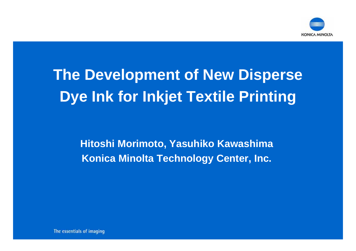

# **The Development of New Disperse Dye Ink for Inkjet Textile Printing**

**Hitoshi Morimoto, Yasuhiko Kawashima Konica Minolta Technology Center, Inc.**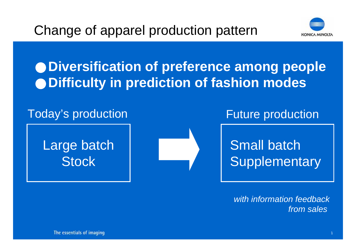

## **Diversification of preference among people Difficulty in prediction of fashion modes**

#### Today's production Today's production

#### Large batch **Stock**



## Small batch **Supplementary**

*with information feedbackfrom sales*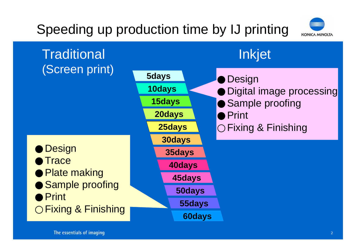## Speeding up production time by IJ printing



**Traditional** (Screen print) Inkjet **5days 10days 15days 20days 30days 25days 55days 50days 45days 40days 35days 60days Design** Digital image processing Sample proofing PrintFixing & Finishing **Design Trace** Plate making Sample proofing PrintFixing & Finishing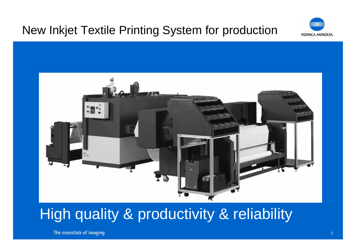#### New Inkjet Textile Printing System for production





## High quality & productivity & reliability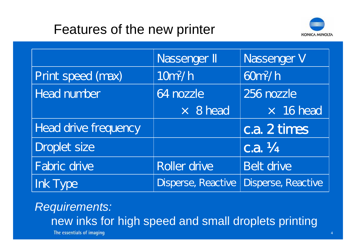#### Features of the new printer



|                             | Nassenger           | Nassenger V               |
|-----------------------------|---------------------|---------------------------|
| Print speed (max)           | 10 <sup>n</sup> /h  | 60 <sup>n</sup> /h        |
| <b>Head number</b>          | 64 nozzle           | 256 nozzle                |
|                             | $\times$ 8 head     | $\times$ 16 head          |
| <b>Head drive frequency</b> |                     | c.a. 2 times              |
| <b>Droplet size</b>         |                     | $c.a. \frac{1}{4}$        |
| <b>Fabric drive</b>         | <b>Roller drive</b> | <b>Belt drive</b>         |
| <b>Ink Type</b>             | Disperse, Reactive  | <b>Disperse, Reactive</b> |

#### *Requirements:* new inks for high speed and small droplets printing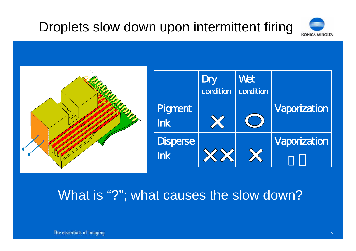## Droplets slow down upon intermittent firing





#### What is "?"; what causes the slow down?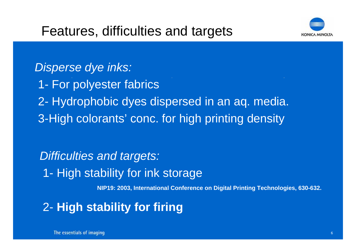

*Disperse dye inks:* 1- For polyester fabrics 2- Hydrophobic dyes dispersed in an aq. media. 3-High colorants' conc. for high printing density

**NIP19: 2003, International Conference on Digital Printing Technologies, 630-632.** *Difficulties and targets:* 1- High stability for ink storage

2- **High stability for firing**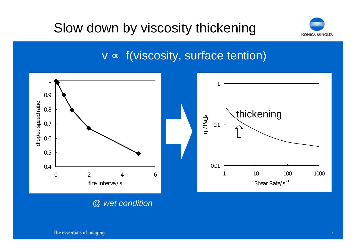## Slow down by viscosity thickening



#### v f(viscosity, surface tention)



*@ wet condition*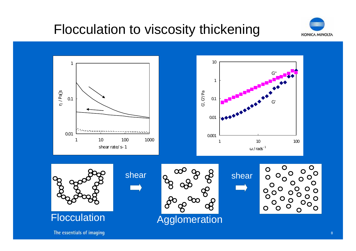## Flocculation to viscosity thickening



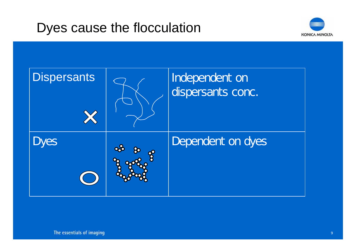#### Dyes cause the flocculation



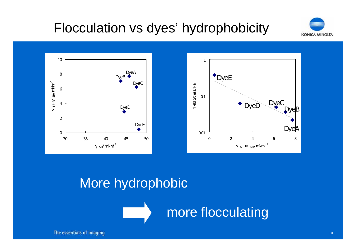## Flocculation vs dyes' hydrophobicity





#### More hydrophobic

more flocculating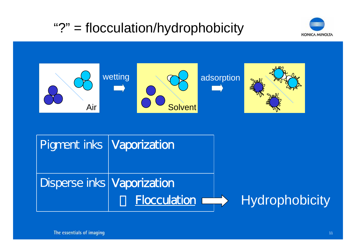## "?" = flocculation/hydrophobicity





| <b>Pigment inks Vaporization</b>  |                     |                |
|-----------------------------------|---------------------|----------------|
| <b>Disperse inks Vaporization</b> |                     |                |
|                                   | <b>Flocculation</b> | Hydrophobicity |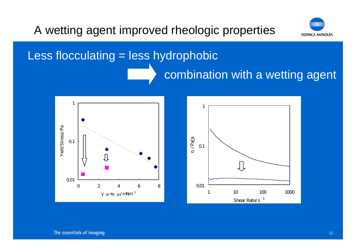#### A wetting agent improved rheologic properties



# Less flocculating = less hydrophobic combination with a wetting agent

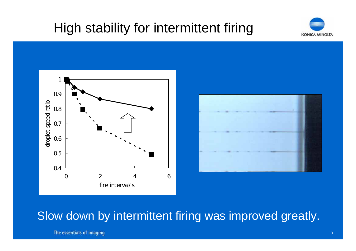## High stability for intermittent firing







#### Slow down by intermittent firing was improved greatly.